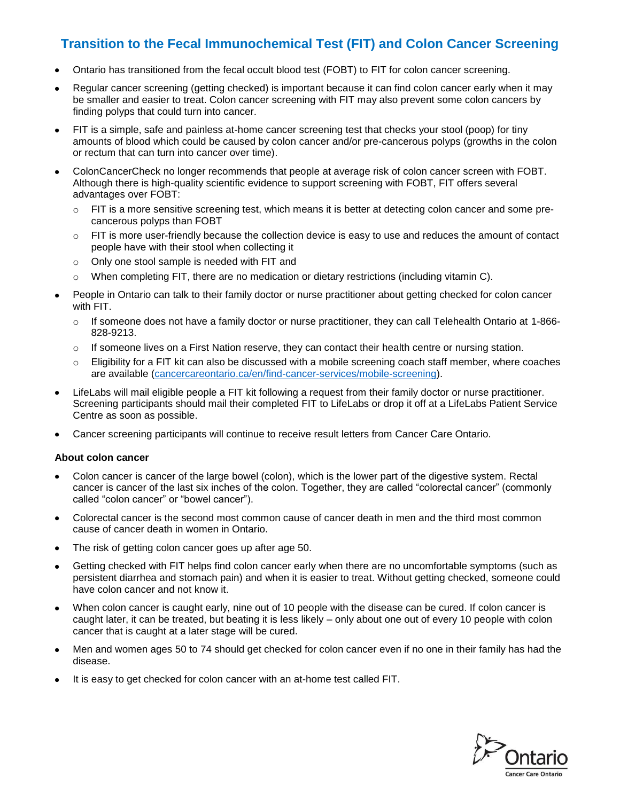# **Transition to the Fecal Immunochemical Test (FIT) and Colon Cancer Screening**

- Ontario has transitioned from the fecal occult blood test (FOBT) to FIT for colon cancer screening.
- Regular cancer screening (getting checked) is important because it can find colon cancer early when it may be smaller and easier to treat. Colon cancer screening with FIT may also prevent some colon cancers by finding polyps that could turn into cancer.
- FIT is a simple, safe and painless at-home cancer screening test that checks your stool (poop) for tiny amounts of blood which could be caused by colon cancer and/or pre-cancerous polyps (growths in the colon or rectum that can turn into cancer over time).
- ColonCancerCheck no longer recommends that people at average risk of colon cancer screen with FOBT. Although there is high-quality scientific evidence to support screening with FOBT, FIT offers several advantages over FOBT:
	- $\circ$  FIT is a more sensitive screening test, which means it is better at detecting colon cancer and some precancerous polyps than FOBT
	- $\circ$  FIT is more user-friendly because the collection device is easy to use and reduces the amount of contact people have with their stool when collecting it
	- o Only one stool sample is needed with FIT and
	- $\circ$  When completing FIT, there are no medication or dietary restrictions (including vitamin C).
- People in Ontario can talk to their family doctor or nurse practitioner about getting checked for colon cancer with FIT.
	- $\circ$  If someone does not have a family doctor or nurse practitioner, they can call Telehealth Ontario at 1-866-828-9213.
	- $\circ$  If someone lives on a First Nation reserve, they can contact their health centre or nursing station.
	- $\circ$  Eligibility for a FIT kit can also be discussed with a mobile screening coach staff member, where coaches are available [\(cancercareontario.ca/en/find-cancer-services/mobile-screening\)](https://www.cancercareontario.ca/en/find-cancer-services/mobile-screening).
- LifeLabs will mail eligible people a FIT kit following a request from their family doctor or nurse practitioner. Screening participants should mail their completed FIT to LifeLabs or drop it off at a LifeLabs Patient Service Centre as soon as possible.
- Cancer screening participants will continue to receive result letters from Cancer Care Ontario.

#### **About colon cancer**

- Colon cancer is cancer of the large bowel (colon), which is the lower part of the digestive system. Rectal cancer is cancer of the last six inches of the colon. Together, they are called "colorectal cancer" (commonly called "colon cancer" or "bowel cancer").
- Colorectal cancer is the second most common cause of cancer death in men and the third most common cause of cancer death in women in Ontario.
- The risk of getting colon cancer goes up after age 50.
- Getting checked with FIT helps find colon cancer early when there are no uncomfortable symptoms (such as persistent diarrhea and stomach pain) and when it is easier to treat. Without getting checked, someone could have colon cancer and not know it.
- When colon cancer is caught early, nine out of 10 people with the disease can be cured. If colon cancer is caught later, it can be treated, but beating it is less likely – only about one out of every 10 people with colon cancer that is caught at a later stage will be cured.
- Men and women ages 50 to 74 should get checked for colon cancer even if no one in their family has had the disease.
- It is easy to get checked for colon cancer with an at-home test called FIT.